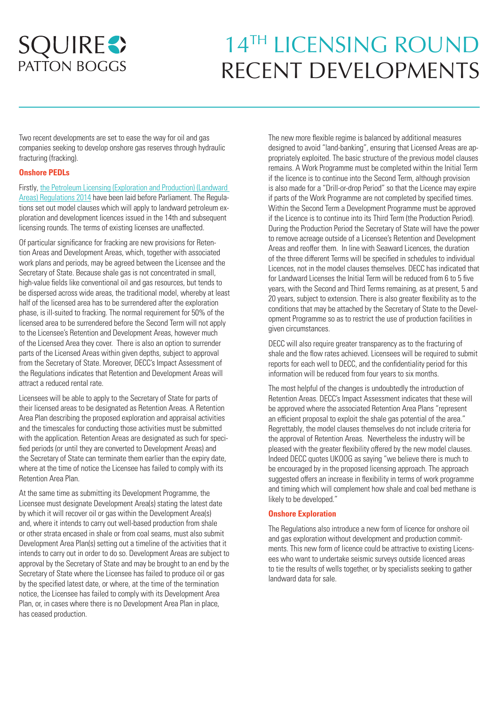# **SQUIRES PATTON BOGGS**

# 14TH LICENSING ROUND RECENT DEVELOPMENTS

Two recent developments are set to ease the way for oil and gas companies seeking to develop onshore gas reserves through hydraulic fracturing (fracking).

# **Onshore PEDLs**

Firstly, [the Petroleum Licensing \(Exploration and Production\) \(Landward](http://www.legislation.gov.uk/uksi/2014/1686/made)  [Areas\) Regulations 2014](http://www.legislation.gov.uk/uksi/2014/1686/made) have been laid before Parliament. The Regulations set out model clauses which will apply to landward petroleum exploration and development licences issued in the 14th and subsequent licensing rounds. The terms of existing licenses are unaffected.

Of particular significance for fracking are new provisions for Retention Areas and Development Areas, which, together with associated work plans and periods, may be agreed between the Licensee and the Secretary of State. Because shale gas is not concentrated in small, high-value fields like conventional oil and gas resources, but tends to be dispersed across wide areas, the traditional model, whereby at least half of the licensed area has to be surrendered after the exploration phase, is ill-suited to fracking. The normal requirement for 50% of the licensed area to be surrendered before the Second Term will not apply to the Licensee's Retention and Development Areas, however much of the Licensed Area they cover. There is also an option to surrender parts of the Licensed Areas within given depths, subject to approval from the Secretary of State. Moreover, DECC's Impact Assessment of the Regulations indicates that Retention and Development Areas will attract a reduced rental rate.

Licensees will be able to apply to the Secretary of State for parts of their licensed areas to be designated as Retention Areas. A Retention Area Plan describing the proposed exploration and appraisal activities and the timescales for conducting those activities must be submitted with the application. Retention Areas are designated as such for specified periods (or until they are converted to Development Areas) and the Secretary of State can terminate them earlier than the expiry date, where at the time of notice the Licensee has failed to comply with its Retention Area Plan.

At the same time as submitting its Development Programme, the Licensee must designate Development Area(s) stating the latest date by which it will recover oil or gas within the Development Area(s) and, where it intends to carry out well-based production from shale or other strata encased in shale or from coal seams, must also submit Development Area Plan(s) setting out a timeline of the activities that it intends to carry out in order to do so. Development Areas are subject to approval by the Secretary of State and may be brought to an end by the Secretary of State where the Licensee has failed to produce oil or gas by the specified latest date, or where, at the time of the termination notice, the Licensee has failed to comply with its Development Area Plan, or, in cases where there is no Development Area Plan in place, has ceased production.

The new more flexible regime is balanced by additional measures designed to avoid "land-banking", ensuring that Licensed Areas are appropriately exploited. The basic structure of the previous model clauses remains. A Work Programme must be completed within the Initial Term if the licence is to continue into the Second Term, although provision is also made for a "Drill-or-drop Period" so that the Licence may expire if parts of the Work Programme are not completed by specified times. Within the Second Term a Development Programme must be approved if the Licence is to continue into its Third Term (the Production Period). During the Production Period the Secretary of State will have the power to remove acreage outside of a Licensee's Retention and Development Areas and reoffer them. In line with Seaward Licences, the duration of the three different Terms will be specified in schedules to individual Licences, not in the model clauses themselves. DECC has indicated that for Landward Licenses the Initial Term will be reduced from 6 to 5 five years, with the Second and Third Terms remaining, as at present, 5 and 20 years, subject to extension. There is also greater flexibility as to the conditions that may be attached by the Secretary of State to the Development Programme so as to restrict the use of production facilities in given circumstances.

DECC will also require greater transparency as to the fracturing of shale and the flow rates achieved. Licensees will be required to submit reports for each well to DECC, and the confidentiality period for this information will be reduced from four years to six months.

The most helpful of the changes is undoubtedly the introduction of Retention Areas. DECC's Impact Assessment indicates that these will be approved where the associated Retention Area Plans "represent an efficient proposal to exploit the shale gas potential of the area." Regrettably, the model clauses themselves do not include criteria for the approval of Retention Areas. Nevertheless the industry will be pleased with the greater flexibility offered by the new model clauses. Indeed DECC quotes UKOOG as saying "we believe there is much to be encouraged by in the proposed licensing approach. The approach suggested offers an increase in flexibility in terms of work programme and timing which will complement how shale and coal bed methane is likely to be developed."

## **Onshore Exploration**

The Regulations also introduce a new form of licence for onshore oil and gas exploration without development and production commitments. This new form of licence could be attractive to existing Licensees who want to undertake seismic surveys outside licenced areas to tie the results of wells together, or by specialists seeking to gather landward data for sale.